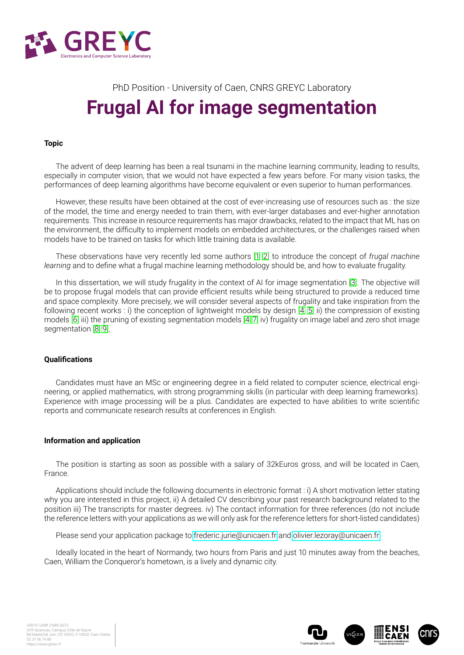

# PhD Position - University of Caen, CNRS GREYC Laboratory **Frugal AI for image segmentation**

### **Topic**

The advent of deep learning has been a real tsunami in the machine learning community, leading to results, especially in computer vision, that we would not have expected a few years before. For many vision tasks, the performances of deep learning algorithms have become equivalent or even superior to human performances.

However, these results have been obtained at the cost of ever-increasing use of resources such as : the size of the model, the time and energy needed to train them, with ever-larger databases and ever-higher annotation requirements. This increase in resource requirements has major drawbacks, related to the impact that ML has on the environment, the difficulty to implement models on embedded architectures, or the challenges raised when models have to be trained on tasks for which little training data is available.

These observations have very recently led some authors [\[1,](#page-1-0) [2\]](#page-1-1) to introduce the concept of *frugal machine learning* and to define what a frugal machine learning methodology should be, and how to evaluate frugality.

In this dissertation, we will study frugality in the context of AI for image segmentation [\[3\]](#page-1-2). The objective will be to propose frugal models that can provide efficient results while being structured to provide a reduced time and space complexity. More precisely, we will consider several aspects of frugality and take inspiration from the following recent works : i) the conception of lightweight models by design [\[4,](#page-1-3) 5] ii) the compression of existing models [\[6\]](#page-1-4) iii) the pruning of existing segmentation models [\[4,](#page-1-3) [7\]](#page-1-5) iv) frugality on image label and zero shot image segmentation [\[8,](#page-1-6) 9].

#### **Qualifications**

Candidates must have an MSc or engineering degree in a field related to computer science, electrical engineering, or applied mathematics, with strong programming skills (in particular with deep learning frameworks). Experience with image processing will be a plus. Candidates are expected to have abilities to write scientific reports and communicate research results at conferences in English.

#### **Information and application**

The position is starting as soon as possible with a salary of 32kEuros gross, and will be located in Caen, France.

Applications should include the following documents in electronic format : i) A short motivation letter stating why you are interested in this project, ii) A detailed CV describing your past research background related to the position iii) The transcripts for master degrees. iv) The contact information for three references (do not include the reference letters with your applications as we will only ask for the reference letters for short-listed candidates)

Please send your application package to [frederic.jurie@unicaen.fr](mailto:frederic.jurie@unicaen.fr) and [olivier.lezoray@unicaen.fr.](mailto:olivier.lezoray@unicaen.fr)

Ideally located in the heart of Normandy, two hours from Paris and just 10 minutes away from the beaches, Caen, William the Conqueror's hometown, is a lively and dynamic city.